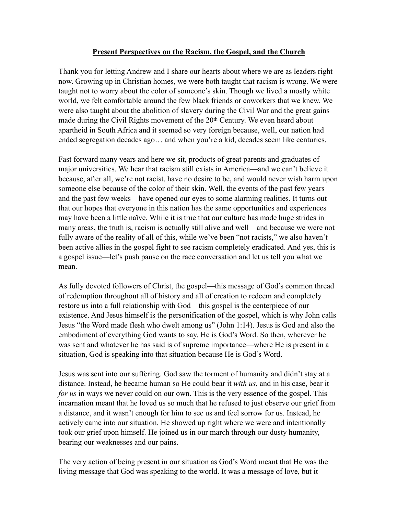## **Present Perspectives on the Racism, the Gospel, and the Church**

Thank you for letting Andrew and I share our hearts about where we are as leaders right now. Growing up in Christian homes, we were both taught that racism is wrong. We were taught not to worry about the color of someone's skin. Though we lived a mostly white world, we felt comfortable around the few black friends or coworkers that we knew. We were also taught about the abolition of slavery during the Civil War and the great gains made during the Civil Rights movement of the 20<sup>th</sup> Century. We even heard about apartheid in South Africa and it seemed so very foreign because, well, our nation had ended segregation decades ago… and when you're a kid, decades seem like centuries.

Fast forward many years and here we sit, products of great parents and graduates of major universities. We hear that racism still exists in America—and we can't believe it because, after all, we're not racist, have no desire to be, and would never wish harm upon someone else because of the color of their skin. Well, the events of the past few years and the past few weeks—have opened our eyes to some alarming realities. It turns out that our hopes that everyone in this nation has the same opportunities and experiences may have been a little naïve. While it is true that our culture has made huge strides in many areas, the truth is, racism is actually still alive and well—and because we were not fully aware of the reality of all of this, while we've been "not racists," we also haven't been active allies in the gospel fight to see racism completely eradicated. And yes, this is a gospel issue—let's push pause on the race conversation and let us tell you what we mean.

As fully devoted followers of Christ, the gospel—this message of God's common thread of redemption throughout all of history and all of creation to redeem and completely restore us into a full relationship with God—this gospel is the centerpiece of our existence. And Jesus himself is the personification of the gospel, which is why John calls Jesus "the Word made flesh who dwelt among us" (John 1:14). Jesus is God and also the embodiment of everything God wants to say. He is God's Word. So then, wherever he was sent and whatever he has said is of supreme importance—where He is present in a situation, God is speaking into that situation because He is God's Word.

Jesus was sent into our suffering. God saw the torment of humanity and didn't stay at a distance. Instead, he became human so He could bear it *with us*, and in his case, bear it *for us* in ways we never could on our own. This is the very essence of the gospel. This incarnation meant that he loved us so much that he refused to just observe our grief from a distance, and it wasn't enough for him to see us and feel sorrow for us. Instead, he actively came into our situation. He showed up right where we were and intentionally took our grief upon himself. He joined us in our march through our dusty humanity, bearing our weaknesses and our pains.

The very action of being present in our situation as God's Word meant that He was the living message that God was speaking to the world. It was a message of love, but it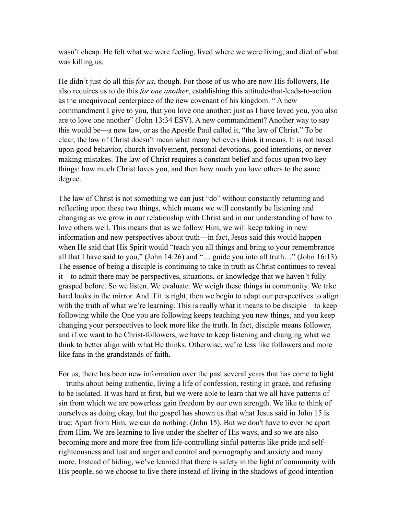wasn't cheap. He felt what we were feeling, lived where we were living, and died of what was killing us.

He didn't just do all this *for us*, though. For those of us who are now His followers, He also requires us to do this *for one another*, establishing this attitude-that-leads-to-action as the unequivocal centerpiece of the new covenant of his kingdom. " A new commandment I give to you, that you love one another: just as I have loved you, you also are to love one another" (John 13:34 ESV). A new commandment? Another way to say this would be—a new law, or as the Apostle Paul called it, "the law of Christ." To be clear, the law of Christ doesn't mean what many believers think it means. It is not based upon good behavior, church involvement, personal devotions, good intentions, or never making mistakes. The law of Christ requires a constant belief and focus upon two key things: how much Christ loves you, and then how much you love others to the same degree.

The law of Christ is not something we can just "do" without constantly returning and reflecting upon these two things, which means we will constantly be listening and changing as we grow in our relationship with Christ and in our understanding of how to love others well. This means that as we follow Him, we will keep taking in new information and new perspectives about truth—in fact, Jesus said this would happen when He said that His Spirit would "teach you all things and bring to your remembrance all that I have said to you," (John 14:26) and "… guide you into all truth…" (John 16:13). The essence of being a disciple is continuing to take in truth as Christ continues to reveal it—to admit there may be perspectives, situations, or knowledge that we haven't fully grasped before. So we listen. We evaluate. We weigh these things in community. We take hard looks in the mirror. And if it is right, then we begin to adapt our perspectives to align with the truth of what we're learning. This is really what it means to be disciple—to keep following while the One you are following keeps teaching you new things, and you keep changing your perspectives to look more like the truth. In fact, disciple means follower, and if we want to be Christ-followers, we have to keep listening and changing what we think to better align with what He thinks. Otherwise, we're less like followers and more like fans in the grandstands of faith.

For us, there has been new information over the past several years that has come to light —truths about being authentic, living a life of confession, resting in grace, and refusing to be isolated. It was hard at first, but we were able to learn that we all have patterns of sin from which we are powerless gain freedom by our own strength. We like to think of ourselves as doing okay, but the gospel has shown us that what Jesus said in John 15 is true: Apart from Him, we can do nothing. (John 15). But we don't have to ever be apart from Him. We are learning to live under the shelter of His ways, and so we are also becoming more and more free from life-controlling sinful patterns like pride and selfrighteousness and lust and anger and control and pornography and anxiety and many more. Instead of hiding, we've learned that there is safety in the light of community with His people, so we choose to live there instead of living in the shadows of good intention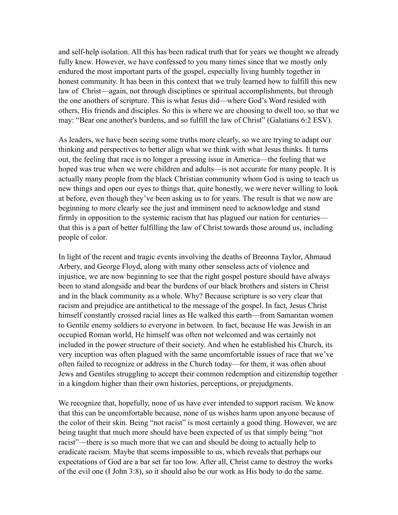and self-help isolation. All this has been radical truth that for years we thought we already fully knew. However, we have confessed to you many times since that we mostly only endured the most important parts of the gospel, especially living humbly together in honest community. It has been in this context that we truly learned how to fulfill this new law of Christ—again, not through disciplines or spiritual accomplishments, but through the one anothers of scripture. This is what Jesus did—where God's Word resided with others, His friends and disciples. So this is where we are choosing to dwell too, so that we may: "Bear one another's burdens, and so fulfill the law of Christ" (Galatians 6:2 ESV).

As leaders, we have been seeing some truths more clearly, so we are trying to adapt our thinking and perspectives to better align what we think with what Jesus thinks. It turns out, the feeling that race is no longer a pressing issue in America—the feeling that we hoped was true when we were children and adults—is not accurate for many people. It is actually many people from the black Christian community whom God is using to teach us new things and open our eyes to things that, quite honestly, we were never willing to look at before, even though they've been asking us to for years. The result is that we now are beginning to more clearly see the just and imminent need to acknowledge and stand firmly in opposition to the systemic racism that has plagued our nation for centuries that this is a part of better fulfilling the law of Christ towards those around us, including people of color.

In light of the recent and tragic events involving the deaths of Breonna Taylor, Ahmaud Arbery, and George Floyd, along with many other senseless acts of violence and injustice, we are now beginning to see that the right gospel posture should have always been to stand alongside and bear the burdens of our black brothers and sisters in Christ and in the black community as a whole. Why? Because scripture is so very clear that racism and prejudice are antithetical to the message of the gospel. In fact, Jesus Christ himself constantly crossed racial lines as He walked this earth—from Samaritan women to Gentile enemy soldiers to everyone in between. In fact, because He was Jewish in an occupied Roman world, He himself was often not welcomed and was certainly not included in the power structure of their society. And when he established his Church, its very inception was often plagued with the same uncomfortable issues of race that we've often failed to recognize or address in the Church today—for them, it was often about Jews and Gentiles struggling to accept their common redemption and citizenship together in a kingdom higher than their own histories, perceptions, or prejudgments.

We recognize that, hopefully, none of us have ever intended to support racism. We know that this can be uncomfortable because, none of us wishes harm upon anyone because of the color of their skin. Being "not racist" is most certainly a good thing. However, we are being taught that much more should have been expected of us that simply being "not racist"—there is so much more that we can and should be doing to actually help to eradicate racism. Maybe that seems impossible to us, which reveals that perhaps our expectations of God are a bar set far too low. After all, Christ came to destroy the works of the evil one (I John 3:8), so it should also be our work as His body to do the same.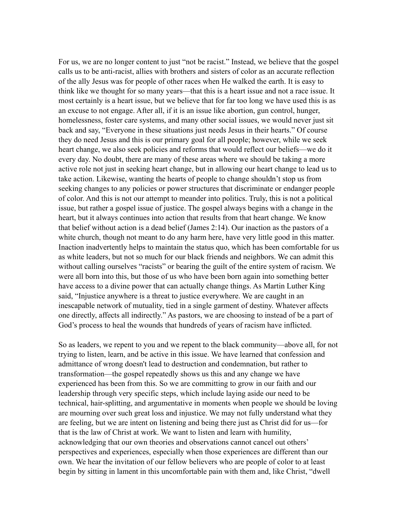For us, we are no longer content to just "not be racist." Instead, we believe that the gospel calls us to be anti-racist, allies with brothers and sisters of color as an accurate reflection of the ally Jesus was for people of other races when He walked the earth. It is easy to think like we thought for so many years—that this is a heart issue and not a race issue. It most certainly is a heart issue, but we believe that for far too long we have used this is as an excuse to not engage. After all, if it is an issue like abortion, gun control, hunger, homelessness, foster care systems, and many other social issues, we would never just sit back and say, "Everyone in these situations just needs Jesus in their hearts." Of course they do need Jesus and this is our primary goal for all people; however, while we seek heart change, we also seek policies and reforms that would reflect our beliefs—we do it every day. No doubt, there are many of these areas where we should be taking a more active role not just in seeking heart change, but in allowing our heart change to lead us to take action. Likewise, wanting the hearts of people to change shouldn't stop us from seeking changes to any policies or power structures that discriminate or endanger people of color. And this is not our attempt to meander into politics. Truly, this is not a political issue, but rather a gospel issue of justice. The gospel always begins with a change in the heart, but it always continues into action that results from that heart change. We know that belief without action is a dead belief (James 2:14). Our inaction as the pastors of a white church, though not meant to do any harm here, have very little good in this matter. Inaction inadvertently helps to maintain the status quo, which has been comfortable for us as white leaders, but not so much for our black friends and neighbors. We can admit this without calling ourselves "racists" or bearing the guilt of the entire system of racism. We were all born into this, but those of us who have been born again into something better have access to a divine power that can actually change things. As Martin Luther King said, "Injustice anywhere is a threat to justice everywhere. We are caught in an inescapable network of mutuality, tied in a single garment of destiny. Whatever affects one directly, affects all indirectly." As pastors, we are choosing to instead of be a part of God's process to heal the wounds that hundreds of years of racism have inflicted.

So as leaders, we repent to you and we repent to the black community—above all, for not trying to listen, learn, and be active in this issue. We have learned that confession and admittance of wrong doesn't lead to destruction and condemnation, but rather to transformation—the gospel repeatedly shows us this and any change we have experienced has been from this. So we are committing to grow in our faith and our leadership through very specific steps, which include laying aside our need to be technical, hair-splitting, and argumentative in moments when people we should be loving are mourning over such great loss and injustice. We may not fully understand what they are feeling, but we are intent on listening and being there just as Christ did for us—for that is the law of Christ at work. We want to listen and learn with humility, acknowledging that our own theories and observations cannot cancel out others' perspectives and experiences, especially when those experiences are different than our own. We hear the invitation of our fellow believers who are people of color to at least begin by sitting in lament in this uncomfortable pain with them and, like Christ, "dwell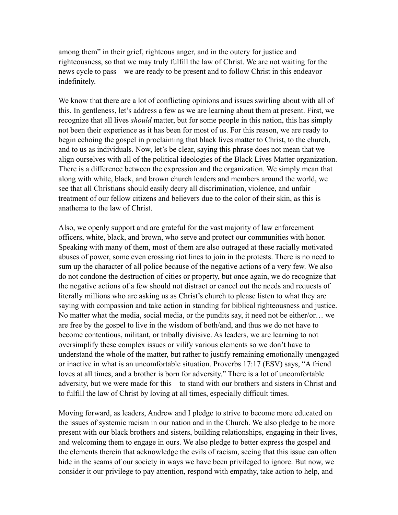among them" in their grief, righteous anger, and in the outcry for justice and righteousness, so that we may truly fulfill the law of Christ. We are not waiting for the news cycle to pass—we are ready to be present and to follow Christ in this endeavor indefinitely.

We know that there are a lot of conflicting opinions and issues swirling about with all of this. In gentleness, let's address a few as we are learning about them at present. First, we recognize that all lives *should* matter, but for some people in this nation, this has simply not been their experience as it has been for most of us. For this reason, we are ready to begin echoing the gospel in proclaiming that black lives matter to Christ, to the church, and to us as individuals. Now, let's be clear, saying this phrase does not mean that we align ourselves with all of the political ideologies of the Black Lives Matter organization. There is a difference between the expression and the organization. We simply mean that along with white, black, and brown church leaders and members around the world, we see that all Christians should easily decry all discrimination, violence, and unfair treatment of our fellow citizens and believers due to the color of their skin, as this is anathema to the law of Christ.

Also, we openly support and are grateful for the vast majority of law enforcement officers, white, black, and brown, who serve and protect our communities with honor. Speaking with many of them, most of them are also outraged at these racially motivated abuses of power, some even crossing riot lines to join in the protests. There is no need to sum up the character of all police because of the negative actions of a very few. We also do not condone the destruction of cities or property, but once again, we do recognize that the negative actions of a few should not distract or cancel out the needs and requests of literally millions who are asking us as Christ's church to please listen to what they are saying with compassion and take action in standing for biblical righteousness and justice. No matter what the media, social media, or the pundits say, it need not be either/or… we are free by the gospel to live in the wisdom of both/and, and thus we do not have to become contentious, militant, or tribally divisive. As leaders, we are learning to not oversimplify these complex issues or vilify various elements so we don't have to understand the whole of the matter, but rather to justify remaining emotionally unengaged or inactive in what is an uncomfortable situation. Proverbs 17:17 (ESV) says, "A friend loves at all times, and a brother is born for adversity." There is a lot of uncomfortable adversity, but we were made for this—to stand with our brothers and sisters in Christ and to fulfill the law of Christ by loving at all times, especially difficult times.

Moving forward, as leaders, Andrew and I pledge to strive to become more educated on the issues of systemic racism in our nation and in the Church. We also pledge to be more present with our black brothers and sisters, building relationships, engaging in their lives, and welcoming them to engage in ours. We also pledge to better express the gospel and the elements therein that acknowledge the evils of racism, seeing that this issue can often hide in the seams of our society in ways we have been privileged to ignore. But now, we consider it our privilege to pay attention, respond with empathy, take action to help, and